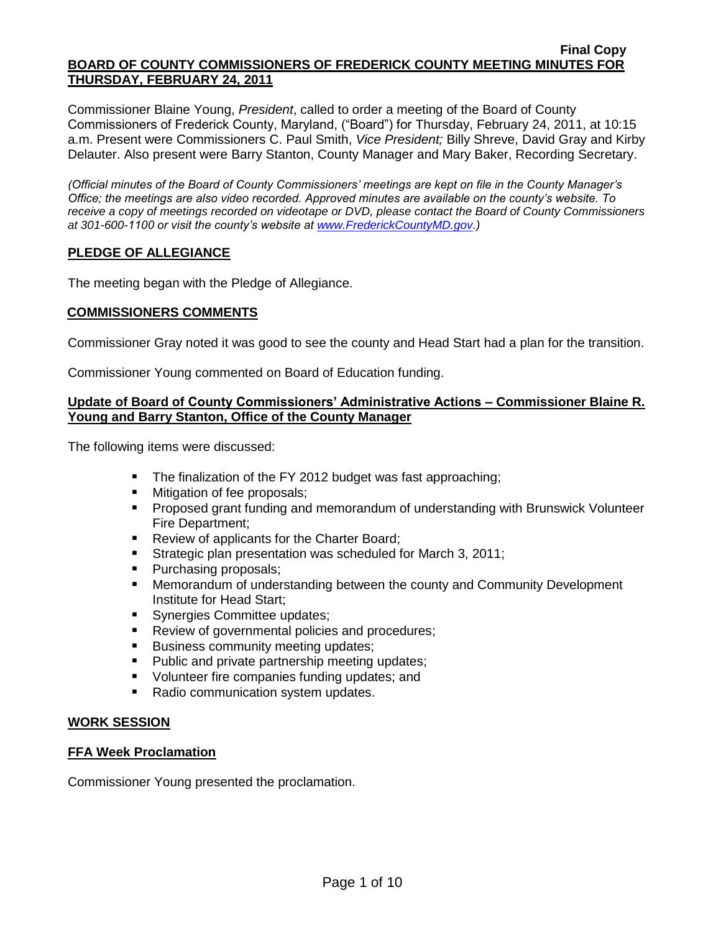Commissioner Blaine Young, *President*, called to order a meeting of the Board of County Commissioners of Frederick County, Maryland, ("Board") for Thursday, February 24, 2011, at 10:15 a.m. Present were Commissioners C. Paul Smith, *Vice President;* Billy Shreve, David Gray and Kirby Delauter. Also present were Barry Stanton, County Manager and Mary Baker, Recording Secretary.

*(Official minutes of the Board of County Commissioners' meetings are kept on file in the County Manager's Office; the meetings are also video recorded. Approved minutes are available on the county's website. To receive a copy of meetings recorded on videotape or DVD, please contact the Board of County Commissioners at 301-600-1100 or visit the county's website at [www.FrederickCountyMD.gov.](http://www.frederickcountymd.gov/))*

# **PLEDGE OF ALLEGIANCE**

The meeting began with the Pledge of Allegiance.

# **COMMISSIONERS COMMENTS**

Commissioner Gray noted it was good to see the county and Head Start had a plan for the transition.

Commissioner Young commented on Board of Education funding.

# **Update of Board of County Commissioners' Administrative Actions – Commissioner Blaine R. Young and Barry Stanton, Office of the County Manager**

The following items were discussed:

- The finalization of the FY 2012 budget was fast approaching;
- **Mitigation of fee proposals;**
- Proposed grant funding and memorandum of understanding with Brunswick Volunteer Fire Department;
- Review of applicants for the Charter Board;
- Strategic plan presentation was scheduled for March 3, 2011;
- **Purchasing proposals;**
- Memorandum of understanding between the county and Community Development Institute for Head Start;
- Synergies Committee updates;
- Review of governmental policies and procedures;
- **Business community meeting updates;**
- Public and private partnership meeting updates;
- Volunteer fire companies funding updates; and
- Radio communication system updates.

### **WORK SESSION**

### **FFA Week Proclamation**

Commissioner Young presented the proclamation.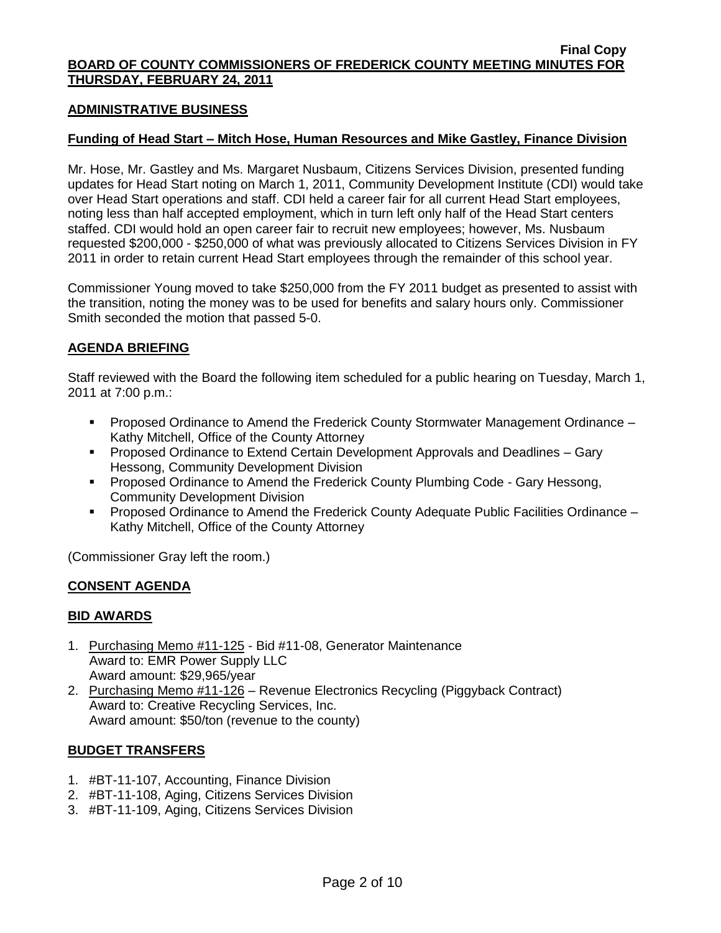# **ADMINISTRATIVE BUSINESS**

## **Funding of Head Start – Mitch Hose, Human Resources and Mike Gastley, Finance Division**

Mr. Hose, Mr. Gastley and Ms. Margaret Nusbaum, Citizens Services Division, presented funding updates for Head Start noting on March 1, 2011, Community Development Institute (CDI) would take over Head Start operations and staff. CDI held a career fair for all current Head Start employees, noting less than half accepted employment, which in turn left only half of the Head Start centers staffed. CDI would hold an open career fair to recruit new employees; however, Ms. Nusbaum requested \$200,000 - \$250,000 of what was previously allocated to Citizens Services Division in FY 2011 in order to retain current Head Start employees through the remainder of this school year.

Commissioner Young moved to take \$250,000 from the FY 2011 budget as presented to assist with the transition, noting the money was to be used for benefits and salary hours only. Commissioner Smith seconded the motion that passed 5-0.

# **AGENDA BRIEFING**

Staff reviewed with the Board the following item scheduled for a public hearing on Tuesday, March 1, 2011 at 7:00 p.m.:

- Proposed Ordinance to Amend the Frederick County Stormwater Management Ordinance Kathy Mitchell, Office of the County Attorney
- Proposed Ordinance to Extend Certain Development Approvals and Deadlines Gary Hessong, Community Development Division
- **Proposed Ordinance to Amend the Frederick County Plumbing Code Gary Hessong,** Community Development Division
- **Proposed Ordinance to Amend the Frederick County Adequate Public Facilities Ordinance -**Kathy Mitchell, Office of the County Attorney

(Commissioner Gray left the room.)

### **CONSENT AGENDA**

# **BID AWARDS**

- 1. Purchasing Memo #11-125 Bid #11-08, Generator Maintenance Award to: EMR Power Supply LLC Award amount: \$29,965/year
- 2. Purchasing Memo #11-126 Revenue Electronics Recycling (Piggyback Contract) Award to: Creative Recycling Services, Inc. Award amount: \$50/ton (revenue to the county)

### **BUDGET TRANSFERS**

- 1. #BT-11-107, Accounting, Finance Division
- 2. #BT-11-108, Aging, Citizens Services Division
- 3. #BT-11-109, Aging, Citizens Services Division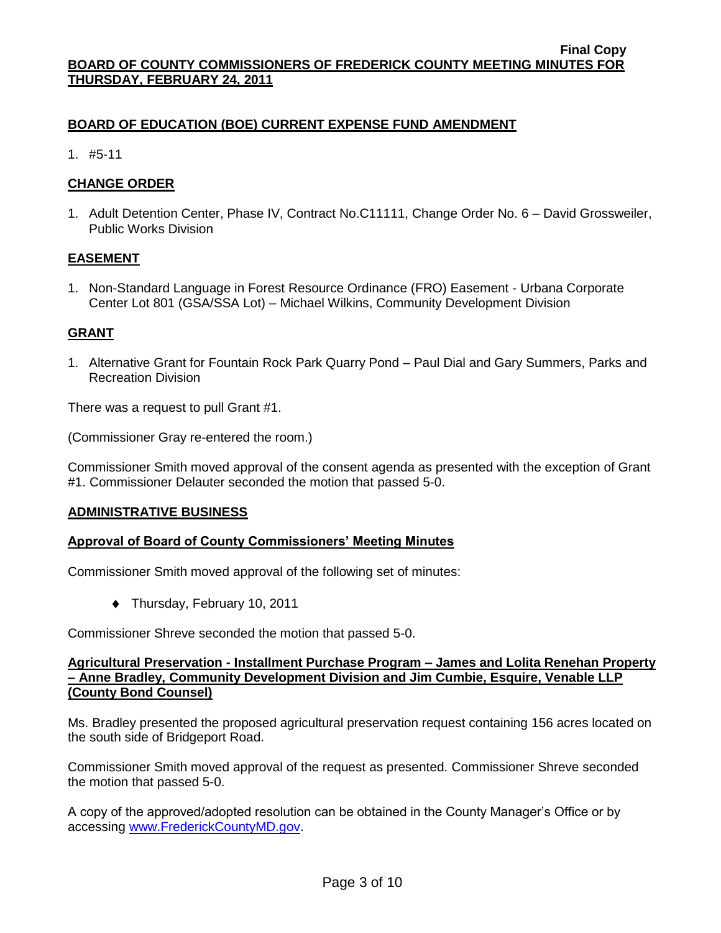# **BOARD OF EDUCATION (BOE) CURRENT EXPENSE FUND AMENDMENT**

1. #5-11

# **CHANGE ORDER**

1. Adult Detention Center, Phase IV, Contract No.C11111, Change Order No. 6 – David Grossweiler, Public Works Division

# **EASEMENT**

1. Non-Standard Language in Forest Resource Ordinance (FRO) Easement - Urbana Corporate Center Lot 801 (GSA/SSA Lot) – Michael Wilkins, Community Development Division

# **GRANT**

1. Alternative Grant for Fountain Rock Park Quarry Pond – Paul Dial and Gary Summers, Parks and Recreation Division

There was a request to pull Grant #1.

(Commissioner Gray re-entered the room.)

Commissioner Smith moved approval of the consent agenda as presented with the exception of Grant #1. Commissioner Delauter seconded the motion that passed 5-0.

### **ADMINISTRATIVE BUSINESS**

### **Approval of Board of County Commissioners' Meeting Minutes**

Commissioner Smith moved approval of the following set of minutes:

◆ Thursday, February 10, 2011

Commissioner Shreve seconded the motion that passed 5-0.

### **Agricultural Preservation - Installment Purchase Program – James and Lolita Renehan Property – Anne Bradley, Community Development Division and Jim Cumbie, Esquire, Venable LLP (County Bond Counsel)**

Ms. Bradley presented the proposed agricultural preservation request containing 156 acres located on the south side of Bridgeport Road.

Commissioner Smith moved approval of the request as presented. Commissioner Shreve seconded the motion that passed 5-0.

A copy of the approved/adopted resolution can be obtained in the County Manager's Office or by accessing [www.FrederickCountyMD.gov.](file://NT1S5/BOCC/BOCC/BOCC%20Minutes/Mary)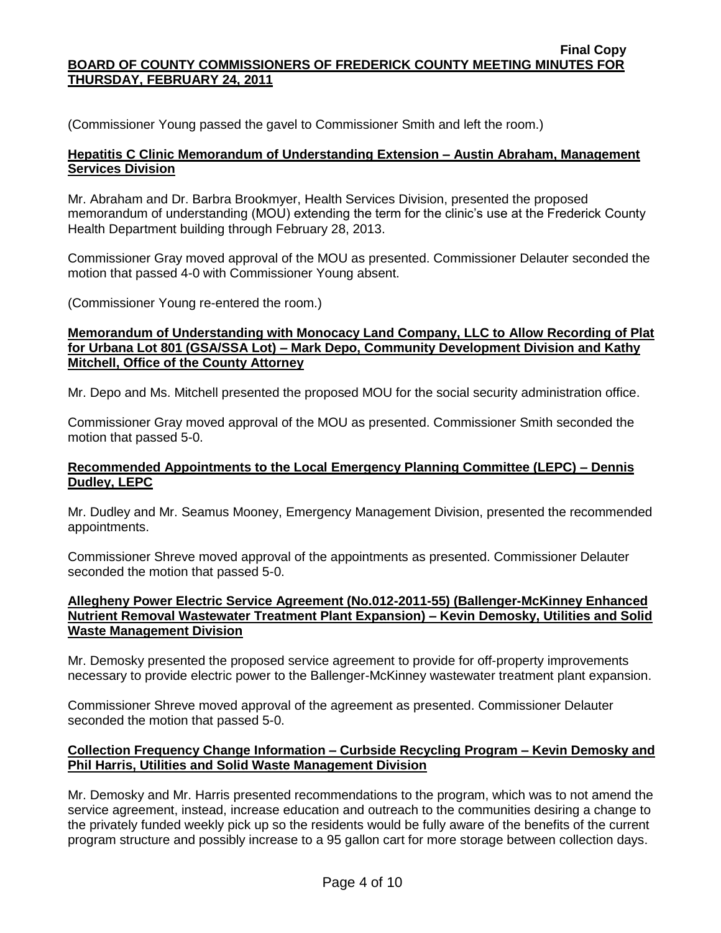(Commissioner Young passed the gavel to Commissioner Smith and left the room.)

# **Hepatitis C Clinic Memorandum of Understanding Extension – Austin Abraham, Management Services Division**

Mr. Abraham and Dr. Barbra Brookmyer, Health Services Division, presented the proposed memorandum of understanding (MOU) extending the term for the clinic's use at the Frederick County Health Department building through February 28, 2013.

Commissioner Gray moved approval of the MOU as presented. Commissioner Delauter seconded the motion that passed 4-0 with Commissioner Young absent.

(Commissioner Young re-entered the room.)

# **Memorandum of Understanding with Monocacy Land Company, LLC to Allow Recording of Plat for Urbana Lot 801 (GSA/SSA Lot) – Mark Depo, Community Development Division and Kathy Mitchell, Office of the County Attorney**

Mr. Depo and Ms. Mitchell presented the proposed MOU for the social security administration office.

Commissioner Gray moved approval of the MOU as presented. Commissioner Smith seconded the motion that passed 5-0.

# **Recommended Appointments to the Local Emergency Planning Committee (LEPC) – Dennis Dudley, LEPC**

Mr. Dudley and Mr. Seamus Mooney, Emergency Management Division, presented the recommended appointments.

Commissioner Shreve moved approval of the appointments as presented. Commissioner Delauter seconded the motion that passed 5-0.

# **Allegheny Power Electric Service Agreement (No.012-2011-55) (Ballenger-McKinney Enhanced Nutrient Removal Wastewater Treatment Plant Expansion) – Kevin Demosky, Utilities and Solid Waste Management Division**

Mr. Demosky presented the proposed service agreement to provide for off-property improvements necessary to provide electric power to the Ballenger-McKinney wastewater treatment plant expansion.

Commissioner Shreve moved approval of the agreement as presented. Commissioner Delauter seconded the motion that passed 5-0.

# **Collection Frequency Change Information – Curbside Recycling Program – Kevin Demosky and Phil Harris, Utilities and Solid Waste Management Division**

Mr. Demosky and Mr. Harris presented recommendations to the program, which was to not amend the service agreement, instead, increase education and outreach to the communities desiring a change to the privately funded weekly pick up so the residents would be fully aware of the benefits of the current program structure and possibly increase to a 95 gallon cart for more storage between collection days.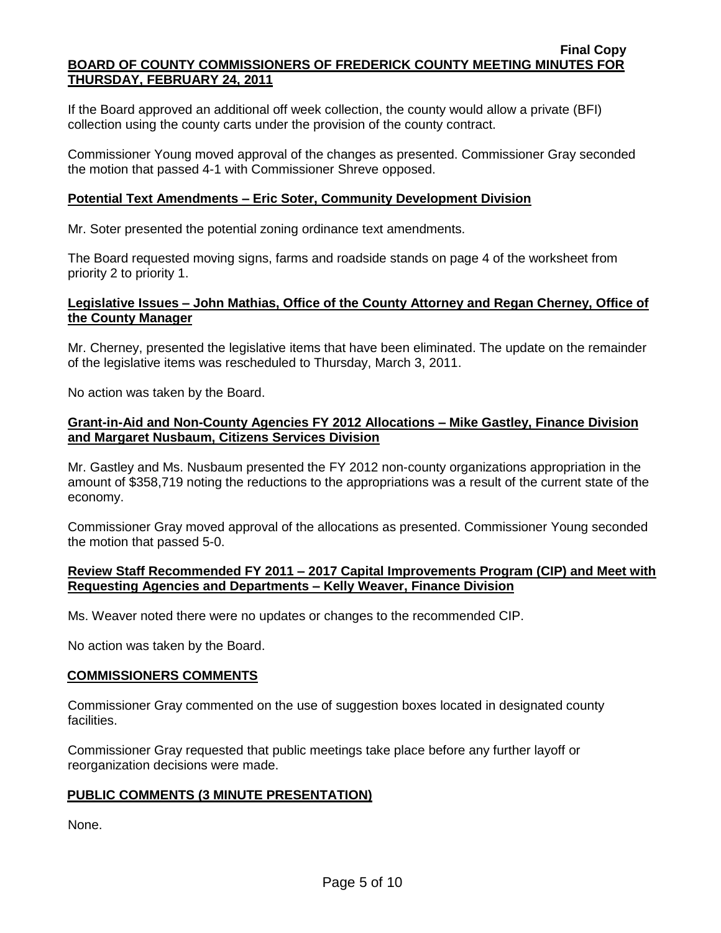If the Board approved an additional off week collection, the county would allow a private (BFI) collection using the county carts under the provision of the county contract.

Commissioner Young moved approval of the changes as presented. Commissioner Gray seconded the motion that passed 4-1 with Commissioner Shreve opposed.

### **Potential Text Amendments – Eric Soter, Community Development Division**

Mr. Soter presented the potential zoning ordinance text amendments.

The Board requested moving signs, farms and roadside stands on page 4 of the worksheet from priority 2 to priority 1.

## **Legislative Issues – John Mathias, Office of the County Attorney and Regan Cherney, Office of the County Manager**

Mr. Cherney, presented the legislative items that have been eliminated. The update on the remainder of the legislative items was rescheduled to Thursday, March 3, 2011.

No action was taken by the Board.

# **Grant-in-Aid and Non-County Agencies FY 2012 Allocations – Mike Gastley, Finance Division and Margaret Nusbaum, Citizens Services Division**

Mr. Gastley and Ms. Nusbaum presented the FY 2012 non-county organizations appropriation in the amount of \$358,719 noting the reductions to the appropriations was a result of the current state of the economy.

Commissioner Gray moved approval of the allocations as presented. Commissioner Young seconded the motion that passed 5-0.

### **Review Staff Recommended FY 2011 – 2017 Capital Improvements Program (CIP) and Meet with Requesting Agencies and Departments – Kelly Weaver, Finance Division**

Ms. Weaver noted there were no updates or changes to the recommended CIP.

No action was taken by the Board.

### **COMMISSIONERS COMMENTS**

Commissioner Gray commented on the use of suggestion boxes located in designated county facilities.

Commissioner Gray requested that public meetings take place before any further layoff or reorganization decisions were made.

### **PUBLIC COMMENTS (3 MINUTE PRESENTATION)**

None.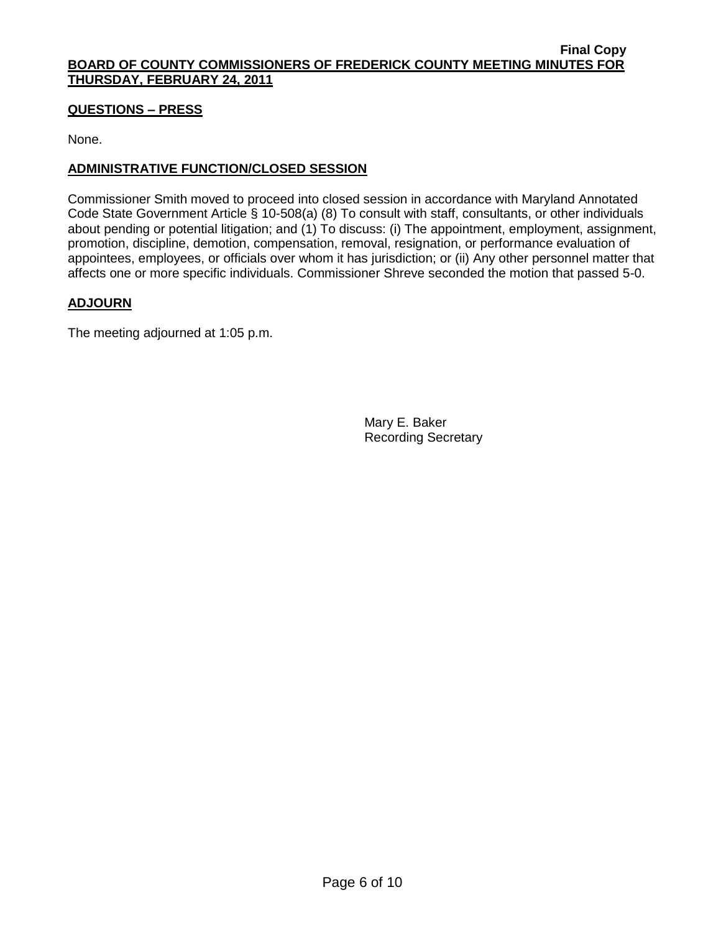# **QUESTIONS – PRESS**

None.

# **ADMINISTRATIVE FUNCTION/CLOSED SESSION**

Commissioner Smith moved to proceed into closed session in accordance with Maryland Annotated Code State Government Article § 10-508(a) (8) To consult with staff, consultants, or other individuals about pending or potential litigation; and (1) To discuss: (i) The appointment, employment, assignment, promotion, discipline, demotion, compensation, removal, resignation, or performance evaluation of appointees, employees, or officials over whom it has jurisdiction; or (ii) Any other personnel matter that affects one or more specific individuals. Commissioner Shreve seconded the motion that passed 5-0.

# **ADJOURN**

The meeting adjourned at 1:05 p.m.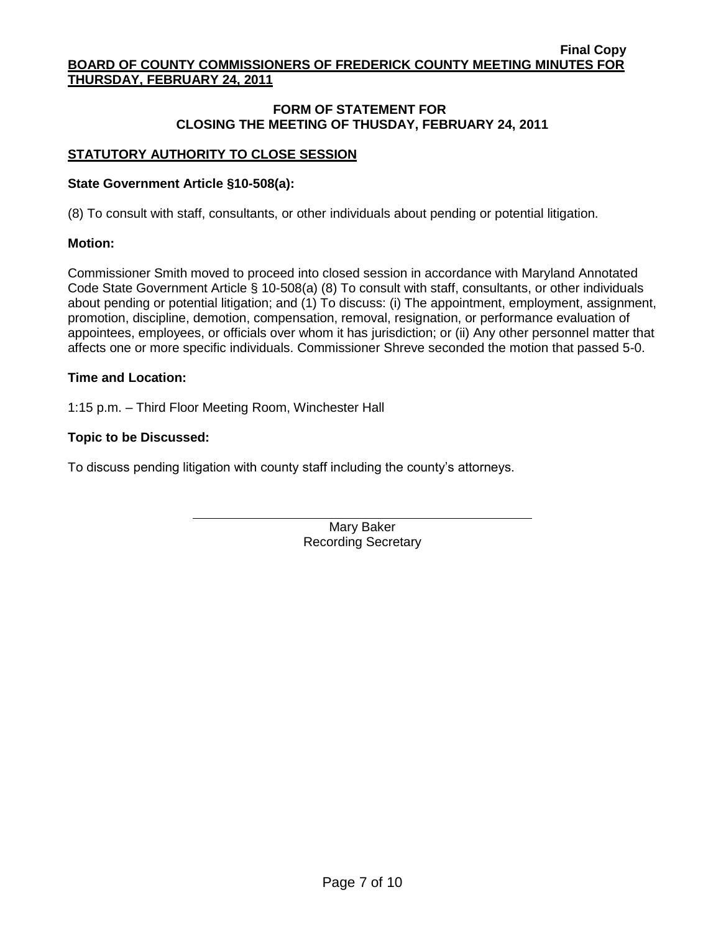# **FORM OF STATEMENT FOR CLOSING THE MEETING OF THUSDAY, FEBRUARY 24, 2011**

# **STATUTORY AUTHORITY TO CLOSE SESSION**

# **State Government Article §10-508(a):**

(8) To consult with staff, consultants, or other individuals about pending or potential litigation.

# **Motion:**

Commissioner Smith moved to proceed into closed session in accordance with Maryland Annotated Code State Government Article § 10-508(a) (8) To consult with staff, consultants, or other individuals about pending or potential litigation; and (1) To discuss: (i) The appointment, employment, assignment, promotion, discipline, demotion, compensation, removal, resignation, or performance evaluation of appointees, employees, or officials over whom it has jurisdiction; or (ii) Any other personnel matter that affects one or more specific individuals. Commissioner Shreve seconded the motion that passed 5-0.

# **Time and Location:**

1:15 p.m. – Third Floor Meeting Room, Winchester Hall

# **Topic to be Discussed:**

To discuss pending litigation with county staff including the county's attorneys.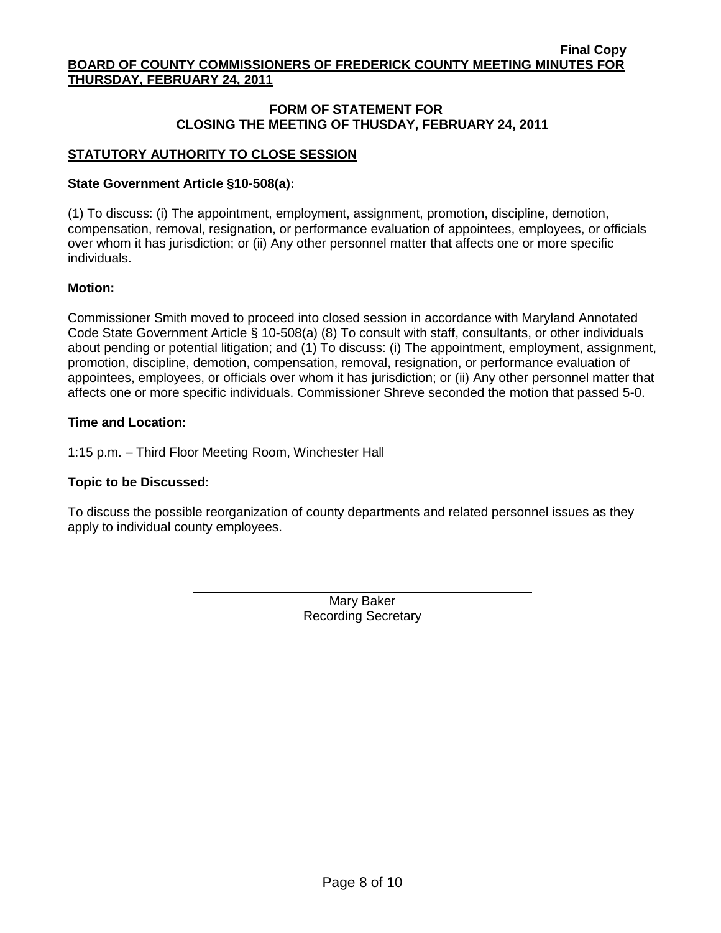# **FORM OF STATEMENT FOR CLOSING THE MEETING OF THUSDAY, FEBRUARY 24, 2011**

# **STATUTORY AUTHORITY TO CLOSE SESSION**

# **State Government Article §10-508(a):**

(1) To discuss: (i) The appointment, employment, assignment, promotion, discipline, demotion, compensation, removal, resignation, or performance evaluation of appointees, employees, or officials over whom it has jurisdiction; or (ii) Any other personnel matter that affects one or more specific individuals.

# **Motion:**

Commissioner Smith moved to proceed into closed session in accordance with Maryland Annotated Code State Government Article § 10-508(a) (8) To consult with staff, consultants, or other individuals about pending or potential litigation; and (1) To discuss: (i) The appointment, employment, assignment, promotion, discipline, demotion, compensation, removal, resignation, or performance evaluation of appointees, employees, or officials over whom it has jurisdiction; or (ii) Any other personnel matter that affects one or more specific individuals. Commissioner Shreve seconded the motion that passed 5-0.

# **Time and Location:**

1:15 p.m. – Third Floor Meeting Room, Winchester Hall

# **Topic to be Discussed:**

To discuss the possible reorganization of county departments and related personnel issues as they apply to individual county employees.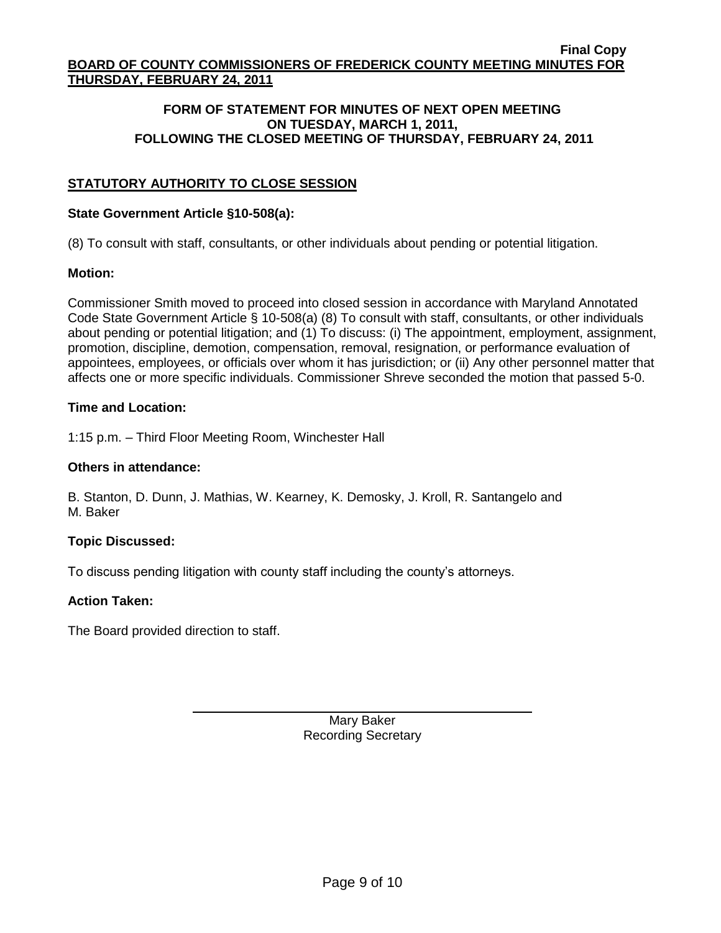# **FORM OF STATEMENT FOR MINUTES OF NEXT OPEN MEETING ON TUESDAY, MARCH 1, 2011, FOLLOWING THE CLOSED MEETING OF THURSDAY, FEBRUARY 24, 2011**

# **STATUTORY AUTHORITY TO CLOSE SESSION**

# **State Government Article §10-508(a):**

(8) To consult with staff, consultants, or other individuals about pending or potential litigation.

# **Motion:**

Commissioner Smith moved to proceed into closed session in accordance with Maryland Annotated Code State Government Article § 10-508(a) (8) To consult with staff, consultants, or other individuals about pending or potential litigation; and (1) To discuss: (i) The appointment, employment, assignment, promotion, discipline, demotion, compensation, removal, resignation, or performance evaluation of appointees, employees, or officials over whom it has jurisdiction; or (ii) Any other personnel matter that affects one or more specific individuals. Commissioner Shreve seconded the motion that passed 5-0.

# **Time and Location:**

1:15 p.m. – Third Floor Meeting Room, Winchester Hall

## **Others in attendance:**

B. Stanton, D. Dunn, J. Mathias, W. Kearney, K. Demosky, J. Kroll, R. Santangelo and M. Baker

# **Topic Discussed:**

To discuss pending litigation with county staff including the county's attorneys.

# **Action Taken:**

The Board provided direction to staff.